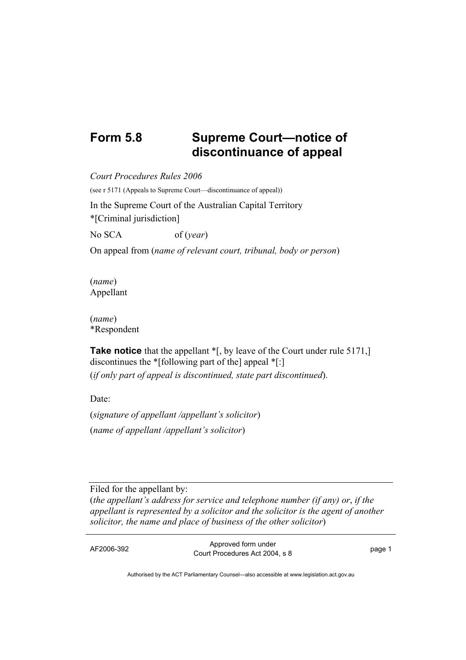## **Form 5.8 Supreme Court—notice of discontinuance of appeal**

*Court Procedures Rules 2006*  (see r 5171 (Appeals to Supreme Court—discontinuance of appeal)) In the Supreme Court of the Australian Capital Territory \*[Criminal jurisdiction] No SCA of (*year*) On appeal from (*name of relevant court, tribunal, body or person*)

(*name*) Appellant

(*name*) \*Respondent

**Take notice** that the appellant  $\mathbf{F}$ , by leave of the Court under rule 5171, discontinues the \*[following part of the] appeal \*[:] (*if only part of appeal is discontinued, state part discontinued*).

Date:

(*signature of appellant /appellant's solicitor*) (*name of appellant /appellant's solicitor*)

Filed for the appellant by: (*the appellant's address for service and telephone number (if any) or*, *if the appellant is represented by a solicitor and the solicitor is the agent of another solicitor, the name and place of business of the other solicitor*)

AF2006-392 Approved form under Procedures Act 2004, s 8 page 1

Authorised by the ACT Parliamentary Counsel—also accessible at www.legislation.act.gov.au